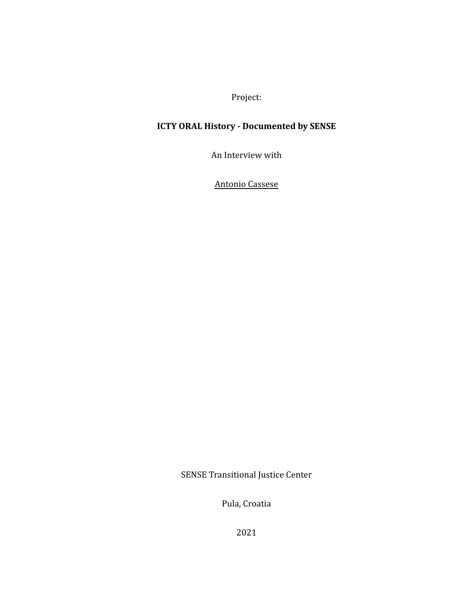Project:

## **ICTY ORAL History - Documented by SENSE**

An Interview with

Antonio Cassese

SENSE Transitional Justice Center

Pula, Croatia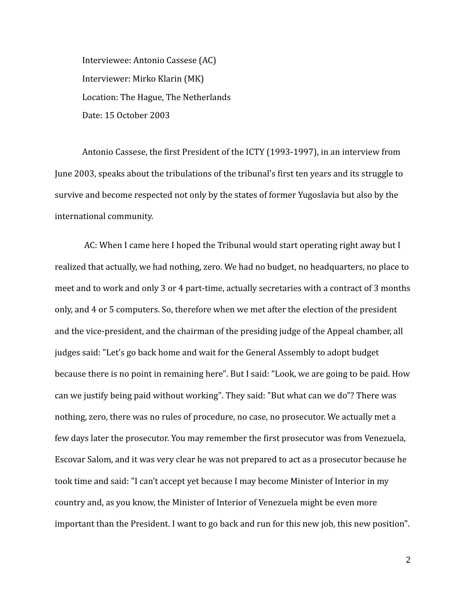Interviewee: Antonio Cassese (AC) Interviewer: Mirko Klarin (MK) Location: The Hague, The Netherlands Date: 15 October 2003

Antonio Cassese, the first President of the ICTY (1993-1997), in an interview from June 2003, speaks about the tribulations of the tribunal's first ten years and its struggle to survive and become respected not only by the states of former Yugoslavia but also by the international community.

AC: When I came here I hoped the Tribunal would start operating right away but I realized that actually, we had nothing, zero. We had no budget, no headquarters, no place to meet and to work and only 3 or 4 part-time, actually secretaries with a contract of 3 months only, and 4 or 5 computers. So, therefore when we met after the election of the president and the vice-president, and the chairman of the presiding judge of the Appeal chamber, all judges said: "Let's go back home and wait for the General Assembly to adopt budget because there is no point in remaining here". But I said: "Look, we are going to be paid. How can we justify being paid without working". They said: "But what can we do"? There was nothing, zero, there was no rules of procedure, no case, no prosecutor. We actually met a few days later the prosecutor. You may remember the first prosecutor was from Venezuela, Escovar Salom, and it was very clear he was not prepared to act as a prosecutor because he took time and said: "I can't accept yet because I may become Minister of Interior in my country and, as you know, the Minister of Interior of Venezuela might be even more important than the President. I want to go back and run for this new job, this new position".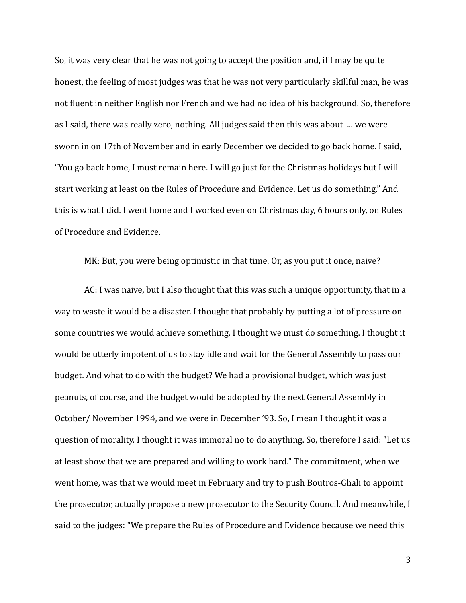So, it was very clear that he was not going to accept the position and, if I may be quite honest, the feeling of most judges was that he was not very particularly skillful man, he was not fluent in neither English nor French and we had no idea of his background. So, therefore as I said, there was really zero, nothing. All judges said then this was about ... we were sworn in on 17th of November and in early December we decided to go back home. I said, "You go back home, I must remain here. I will go just for the Christmas holidays but I will start working at least on the Rules of Procedure and Evidence. Let us do something." And this is what I did. I went home and I worked even on Christmas day, 6 hours only, on Rules of Procedure and Evidence.

MK: But, you were being optimistic in that time. Or, as you put it once, naive?

AC: I was naive, but I also thought that this was such a unique opportunity, that in a way to waste it would be a disaster. I thought that probably by putting a lot of pressure on some countries we would achieve something. I thought we must do something. I thought it would be utterly impotent of us to stay idle and wait for the General Assembly to pass our budget. And what to do with the budget? We had a provisional budget, which was just peanuts, of course, and the budget would be adopted by the next General Assembly in October/ November 1994, and we were in December '93. So, I mean I thought it was a question of morality. I thought it was immoral no to do anything. So, therefore I said: "Let us at least show that we are prepared and willing to work hard." The commitment, when we went home, was that we would meet in February and try to push Boutros-Ghali to appoint the prosecutor, actually propose a new prosecutor to the Security Council. And meanwhile, I said to the judges: "We prepare the Rules of Procedure and Evidence because we need this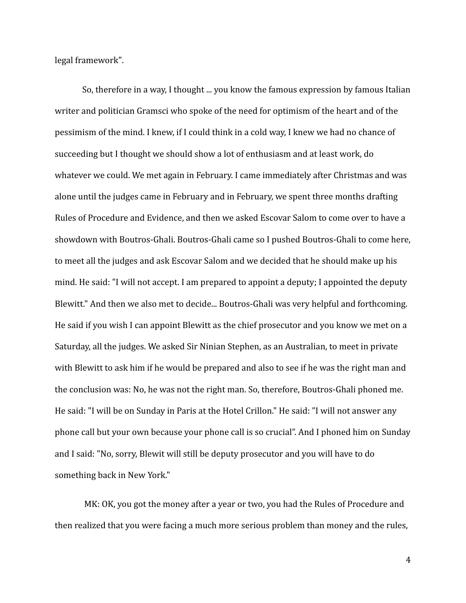legal framework".

So, therefore in a way, I thought ... you know the famous expression by famous Italian writer and politician Gramsci who spoke of the need for optimism of the heart and of the pessimism of the mind. I knew, if I could think in a cold way, I knew we had no chance of succeeding but I thought we should show a lot of enthusiasm and at least work, do whatever we could. We met again in February. I came immediately after Christmas and was alone until the judges came in February and in February, we spent three months drafting Rules of Procedure and Evidence, and then we asked Escovar Salom to come over to have a showdown with Boutros-Ghali. Boutros-Ghali came so I pushed Boutros-Ghali to come here, to meet all the judges and ask Escovar Salom and we decided that he should make up his mind. He said: "I will not accept. I am prepared to appoint a deputy; I appointed the deputy Blewitt." And then we also met to decide... Boutros-Ghali was very helpful and forthcoming. He said if you wish I can appoint Blewitt as the chief prosecutor and you know we met on a Saturday, all the judges. We asked Sir Ninian Stephen, as an Australian, to meet in private with Blewitt to ask him if he would be prepared and also to see if he was the right man and the conclusion was: No, he was not the right man. So, therefore, Boutros-Ghali phoned me. He said: "I will be on Sunday in Paris at the Hotel Crillon." He said: "I will not answer any phone call but your own because your phone call is so crucial". And I phoned him on Sunday and I said: "No, sorry, Blewit will still be deputy prosecutor and you will have to do something back in New York."

MK: OK, you got the money after a year or two, you had the Rules of Procedure and then realized that you were facing a much more serious problem than money and the rules,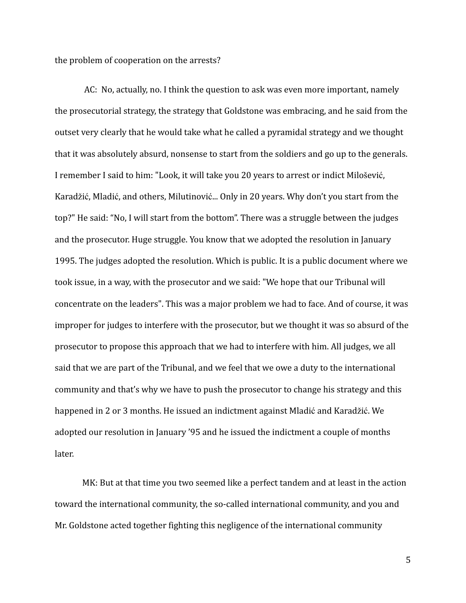the problem of cooperation on the arrests?

AC: No, actually, no. I think the question to ask was even more important, namely the prosecutorial strategy, the strategy that Goldstone was embracing, and he said from the outset very clearly that he would take what he called a pyramidal strategy and we thought that it was absolutely absurd, nonsense to start from the soldiers and go up to the generals. I remember I said to him: "Look, it will take you 20 years to arrest or indict Milošević, Karadžić, Mladić, and others, Milutinović... Only in 20 years. Why don't you start from the top?" He said: "No, I will start from the bottom". There was a struggle between the judges and the prosecutor. Huge struggle. You know that we adopted the resolution in January 1995. The judges adopted the resolution. Which is public. It is a public document where we took issue, in a way, with the prosecutor and we said: "We hope that our Tribunal will concentrate on the leaders". This was a major problem we had to face. And of course, it was improper for judges to interfere with the prosecutor, but we thought it was so absurd of the prosecutor to propose this approach that we had to interfere with him. All judges, we all said that we are part of the Tribunal, and we feel that we owe a duty to the international community and that's why we have to push the prosecutor to change his strategy and this happened in 2 or 3 months. He issued an indictment against Mladić and Karadžić. We adopted our resolution in January '95 and he issued the indictment a couple of months later.

MK: But at that time you two seemed like a perfect tandem and at least in the action toward the international community, the so-called international community, and you and Mr. Goldstone acted together fighting this negligence of the international community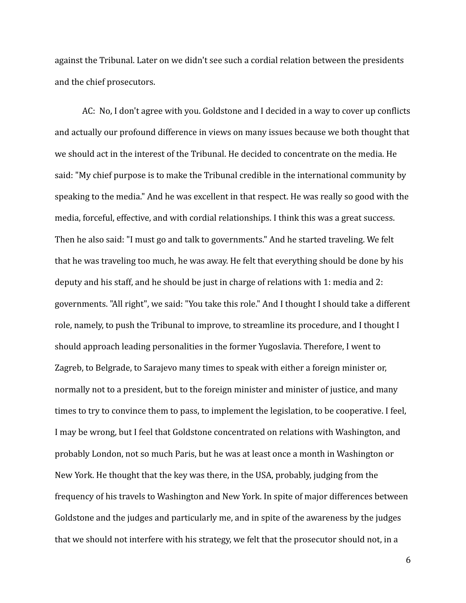against the Tribunal. Later on we didn't see such a cordial relation between the presidents and the chief prosecutors.

AC: No, I don't agree with you. Goldstone and I decided in a way to cover up conflicts and actually our profound difference in views on many issues because we both thought that we should act in the interest of the Tribunal. He decided to concentrate on the media. He said: "My chief purpose is to make the Tribunal credible in the international community by speaking to the media." And he was excellent in that respect. He was really so good with the media, forceful, effective, and with cordial relationships. I think this was a great success. Then he also said: "I must go and talk to governments." And he started traveling. We felt that he was traveling too much, he was away. He felt that everything should be done by his deputy and his staff, and he should be just in charge of relations with 1: media and 2: governments. "All right", we said: "You take this role." And I thought I should take a different role, namely, to push the Tribunal to improve, to streamline its procedure, and I thought I should approach leading personalities in the former Yugoslavia. Therefore, I went to Zagreb, to Belgrade, to Sarajevo many times to speak with either a foreign minister or, normally not to a president, but to the foreign minister and minister of justice, and many times to try to convince them to pass, to implement the legislation, to be cooperative. I feel, I may be wrong, but I feel that Goldstone concentrated on relations with Washington, and probably London, not so much Paris, but he was at least once a month in Washington or New York. He thought that the key was there, in the USA, probably, judging from the frequency of his travels to Washington and New York. In spite of major differences between Goldstone and the judges and particularly me, and in spite of the awareness by the judges that we should not interfere with his strategy, we felt that the prosecutor should not, in a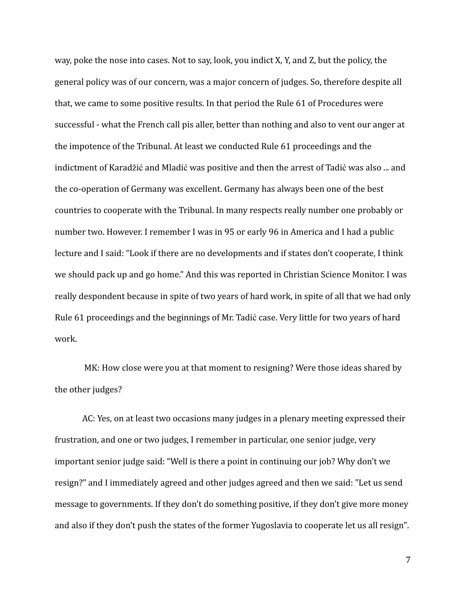way, poke the nose into cases. Not to say, look, you indict X, Y, and Z, but the policy, the general policy was of our concern, was a major concern of judges. So, therefore despite all that, we came to some positive results. In that period the Rule 61 of Procedures were successful - what the French call pis aller, better than nothing and also to vent our anger at the impotence of the Tribunal. At least we conducted Rule 61 proceedings and the indictment of Karadžić and Mladić was positive and then the arrest of Tadić was also ... and the co-operation of Germany was excellent. Germany has always been one of the best countries to cooperate with the Tribunal. In many respects really number one probably or number two. However. I remember I was in 95 or early 96 in America and I had a public lecture and I said: "Look if there are no developments and if states don't cooperate, I think we should pack up and go home." And this was reported in Christian Science Monitor. I was really despondent because in spite of two years of hard work, in spite of all that we had only Rule 61 proceedings and the beginnings of Mr. Tadić case. Very little for two years of hard work.

MK: How close were you at that moment to resigning? Were those ideas shared by the other judges?

AC: Yes, on at least two occasions many judges in a plenary meeting expressed their frustration, and one or two judges, I remember in particular, one senior judge, very important senior judge said: "Well is there a point in continuing our job? Why don't we resign?" and I immediately agreed and other judges agreed and then we said: "Let us send message to governments. If they don't do something positive, if they don't give more money and also if they don't push the states of the former Yugoslavia to cooperate let us all resign".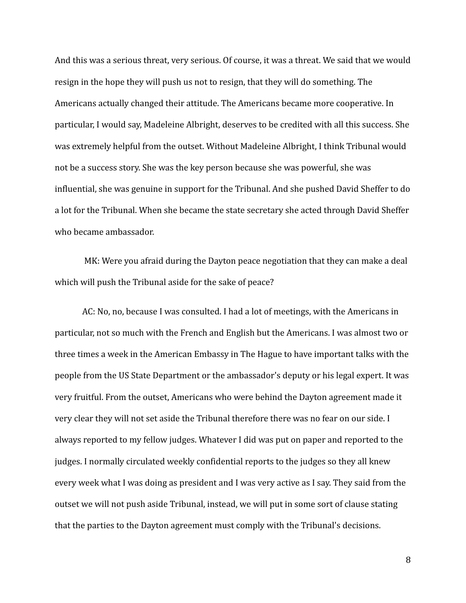And this was a serious threat, very serious. Of course, it was a threat. We said that we would resign in the hope they will push us not to resign, that they will do something. The Americans actually changed their attitude. The Americans became more cooperative. In particular, I would say, Madeleine Albright, deserves to be credited with all this success. She was extremely helpful from the outset. Without Madeleine Albright, I think Tribunal would not be a success story. She was the key person because she was powerful, she was influential, she was genuine in support for the Tribunal. And she pushed David Sheffer to do a lot for the Tribunal. When she became the state secretary she acted through David Sheffer who became ambassador.

MK: Were you afraid during the Dayton peace negotiation that they can make a deal which will push the Tribunal aside for the sake of peace?

AC: No, no, because I was consulted. I had a lot of meetings, with the Americans in particular, not so much with the French and English but the Americans. I was almost two or three times a week in the American Embassy in The Hague to have important talks with the people from the US State Department or the ambassador's deputy or his legal expert. It was very fruitful. From the outset, Americans who were behind the Dayton agreement made it very clear they will not set aside the Tribunal therefore there was no fear on our side. I always reported to my fellow judges. Whatever I did was put on paper and reported to the judges. I normally circulated weekly confidential reports to the judges so they all knew every week what I was doing as president and I was very active as I say. They said from the outset we will not push aside Tribunal, instead, we will put in some sort of clause stating that the parties to the Dayton agreement must comply with the Tribunal's decisions.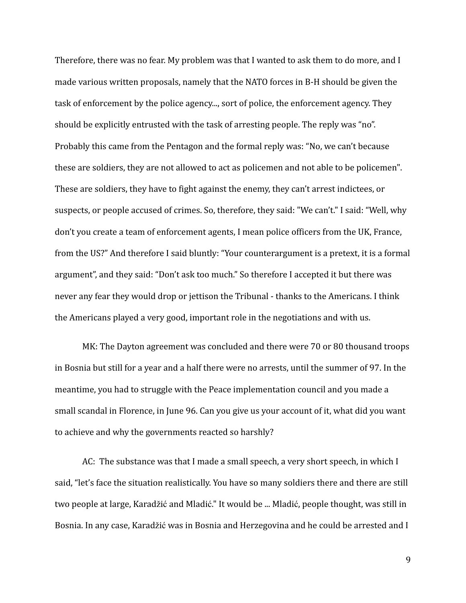Therefore, there was no fear. My problem was that I wanted to ask them to do more, and I made various written proposals, namely that the NATO forces in B-H should be given the task of enforcement by the police agency..., sort of police, the enforcement agency. They should be explicitly entrusted with the task of arresting people. The reply was "no". Probably this came from the Pentagon and the formal reply was: "No, we can't because these are soldiers, they are not allowed to act as policemen and not able to be policemen". These are soldiers, they have to fight against the enemy, they can't arrest indictees, or suspects, or people accused of crimes. So, therefore, they said: "We can't." I said: "Well, why don't you create a team of enforcement agents, I mean police officers from the UK, France, from the US?" And therefore I said bluntly: "Your counterargument is a pretext, it is a formal argument", and they said: "Don't ask too much." So therefore I accepted it but there was never any fear they would drop or jettison the Tribunal - thanks to the Americans. I think the Americans played a very good, important role in the negotiations and with us.

MK: The Dayton agreement was concluded and there were 70 or 80 thousand troops in Bosnia but still for a year and a half there were no arrests, until the summer of 97. In the meantime, you had to struggle with the Peace implementation council and you made a small scandal in Florence, in June 96. Can you give us your account of it, what did you want to achieve and why the governments reacted so harshly?

AC: The substance was that I made a small speech, a very short speech, in which I said, "let's face the situation realistically. You have so many soldiers there and there are still two people at large, Karadžić and Mladić." It would be ... Mladić, people thought, was still in Bosnia. In any case, Karadžić was in Bosnia and Herzegovina and he could be arrested and I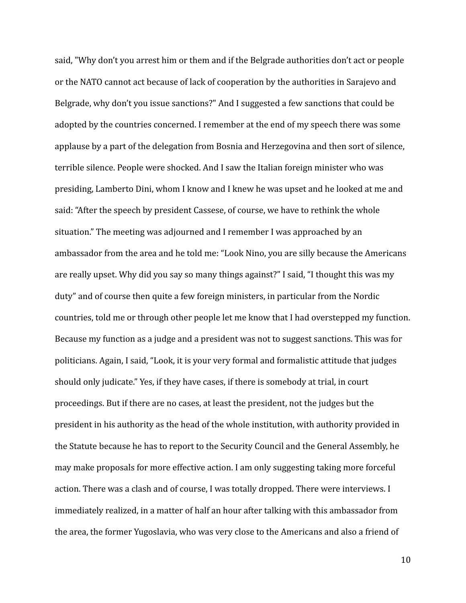said, "Why don't you arrest him or them and if the Belgrade authorities don't act or people or the NATO cannot act because of lack of cooperation by the authorities in Sarajevo and Belgrade, why don't you issue sanctions?" And I suggested a few sanctions that could be adopted by the countries concerned. I remember at the end of my speech there was some applause by a part of the delegation from Bosnia and Herzegovina and then sort of silence, terrible silence. People were shocked. And I saw the Italian foreign minister who was presiding, Lamberto Dini, whom I know and I knew he was upset and he looked at me and said: "After the speech by president Cassese, of course, we have to rethink the whole situation." The meeting was adjourned and I remember I was approached by an ambassador from the area and he told me: "Look Nino, you are silly because the Americans are really upset. Why did you say so many things against?" I said, "I thought this was my duty" and of course then quite a few foreign ministers, in particular from the Nordic countries, told me or through other people let me know that I had overstepped my function. Because my function as a judge and a president was not to suggest sanctions. This was for politicians. Again, I said, "Look, it is your very formal and formalistic attitude that judges should only judicate." Yes, if they have cases, if there is somebody at trial, in court proceedings. But if there are no cases, at least the president, not the judges but the president in his authority as the head of the whole institution, with authority provided in the Statute because he has to report to the Security Council and the General Assembly, he may make proposals for more effective action. I am only suggesting taking more forceful action. There was a clash and of course, I was totally dropped. There were interviews. I immediately realized, in a matter of half an hour after talking with this ambassador from the area, the former Yugoslavia, who was very close to the Americans and also a friend of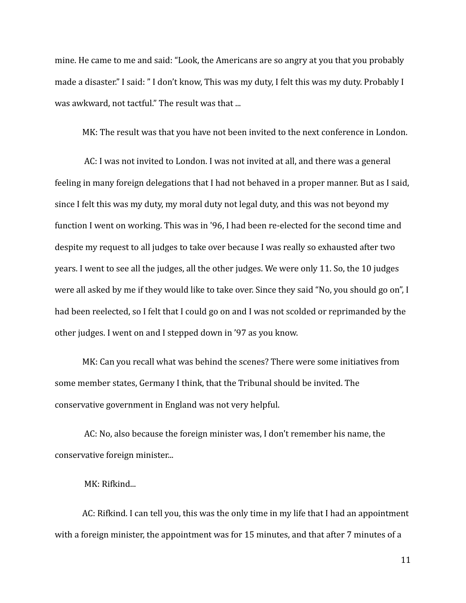mine. He came to me and said: "Look, the Americans are so angry at you that you probably made a disaster." I said: " I don't know, This was my duty, I felt this was my duty. Probably I was awkward, not tactful." The result was that ...

MK: The result was that you have not been invited to the next conference in London.

AC: I was not invited to London. I was not invited at all, and there was a general feeling in many foreign delegations that I had not behaved in a proper manner. But as I said, since I felt this was my duty, my moral duty not legal duty, and this was not beyond my function I went on working. This was in '96, I had been re-elected for the second time and despite my request to all judges to take over because I was really so exhausted after two years. I went to see all the judges, all the other judges. We were only 11. So, the 10 judges were all asked by me if they would like to take over. Since they said "No, you should go on", I had been reelected, so I felt that I could go on and I was not scolded or reprimanded by the other judges. I went on and I stepped down in '97 as you know.

MK: Can you recall what was behind the scenes? There were some initiatives from some member states, Germany I think, that the Tribunal should be invited. The conservative government in England was not very helpful.

AC: No, also because the foreign minister was, I don't remember his name, the conservative foreign minister...

MK: Rifkind...

AC: Rifkind. I can tell you, this was the only time in my life that I had an appointment with a foreign minister, the appointment was for 15 minutes, and that after 7 minutes of a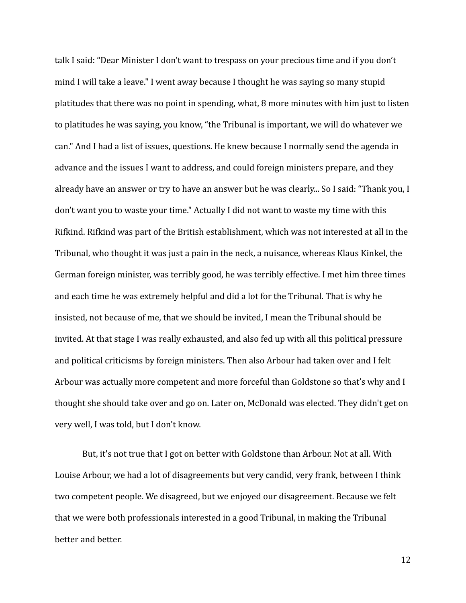talk I said: "Dear Minister I don't want to trespass on your precious time and if you don't mind I will take a leave." I went away because I thought he was saying so many stupid platitudes that there was no point in spending, what, 8 more minutes with him just to listen to platitudes he was saying, you know, "the Tribunal is important, we will do whatever we can." And I had a list of issues, questions. He knew because I normally send the agenda in advance and the issues I want to address, and could foreign ministers prepare, and they already have an answer or try to have an answer but he was clearly... So I said: "Thank you, I don't want you to waste your time." Actually I did not want to waste my time with this Rifkind. Rifkind was part of the British establishment, which was not interested at all in the Tribunal, who thought it was just a pain in the neck, a nuisance, whereas Klaus Kinkel, the German foreign minister, was terribly good, he was terribly effective. I met him three times and each time he was extremely helpful and did a lot for the Tribunal. That is why he insisted, not because of me, that we should be invited, I mean the Tribunal should be invited. At that stage I was really exhausted, and also fed up with all this political pressure and political criticisms by foreign ministers. Then also Arbour had taken over and I felt Arbour was actually more competent and more forceful than Goldstone so that's why and I thought she should take over and go on. Later on, McDonald was elected. They didn't get on very well, I was told, but I don't know.

But, it's not true that I got on better with Goldstone than Arbour. Not at all. With Louise Arbour, we had a lot of disagreements but very candid, very frank, between I think two competent people. We disagreed, but we enjoyed our disagreement. Because we felt that we were both professionals interested in a good Tribunal, in making the Tribunal better and better.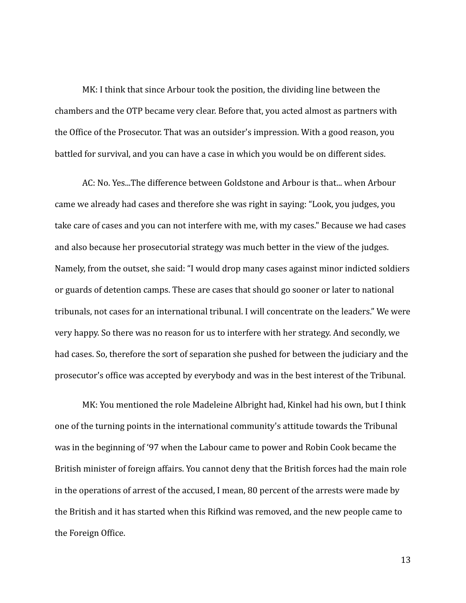MK: I think that since Arbour took the position, the dividing line between the chambers and the OTP became very clear. Before that, you acted almost as partners with the Office of the Prosecutor. That was an outsider's impression. With a good reason, you battled for survival, and you can have a case in which you would be on different sides.

AC: No. Yes...The difference between Goldstone and Arbour is that... when Arbour came we already had cases and therefore she was right in saying: "Look, you judges, you take care of cases and you can not interfere with me, with my cases." Because we had cases and also because her prosecutorial strategy was much better in the view of the judges. Namely, from the outset, she said: "I would drop many cases against minor indicted soldiers or guards of detention camps. These are cases that should go sooner or later to national tribunals, not cases for an international tribunal. I will concentrate on the leaders." We were very happy. So there was no reason for us to interfere with her strategy. And secondly, we had cases. So, therefore the sort of separation she pushed for between the judiciary and the prosecutor's office was accepted by everybody and was in the best interest of the Tribunal.

MK: You mentioned the role Madeleine Albright had, Kinkel had his own, but I think one of the turning points in the international community's attitude towards the Tribunal was in the beginning of '97 when the Labour came to power and Robin Cook became the British minister of foreign affairs. You cannot deny that the British forces had the main role in the operations of arrest of the accused, I mean, 80 percent of the arrests were made by the British and it has started when this Rifkind was removed, and the new people came to the Foreign Office.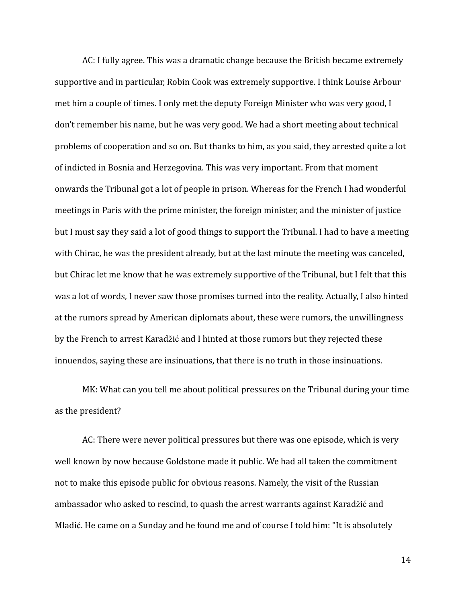AC: I fully agree. This was a dramatic change because the British became extremely supportive and in particular, Robin Cook was extremely supportive. I think Louise Arbour met him a couple of times. I only met the deputy Foreign Minister who was very good, I don't remember his name, but he was very good. We had a short meeting about technical problems of cooperation and so on. But thanks to him, as you said, they arrested quite a lot of indicted in Bosnia and Herzegovina. This was very important. From that moment onwards the Tribunal got a lot of people in prison. Whereas for the French I had wonderful meetings in Paris with the prime minister, the foreign minister, and the minister of justice but I must say they said a lot of good things to support the Tribunal. I had to have a meeting with Chirac, he was the president already, but at the last minute the meeting was canceled, but Chirac let me know that he was extremely supportive of the Tribunal, but I felt that this was a lot of words, I never saw those promises turned into the reality. Actually, I also hinted at the rumors spread by American diplomats about, these were rumors, the unwillingness by the French to arrest Karadžić and I hinted at those rumors but they rejected these innuendos, saying these are insinuations, that there is no truth in those insinuations.

MK: What can you tell me about political pressures on the Tribunal during your time as the president?

AC: There were never political pressures but there was one episode, which is very well known by now because Goldstone made it public. We had all taken the commitment not to make this episode public for obvious reasons. Namely, the visit of the Russian ambassador who asked to rescind, to quash the arrest warrants against Karadžić and Mladić. He came on a Sunday and he found me and of course I told him: "It is absolutely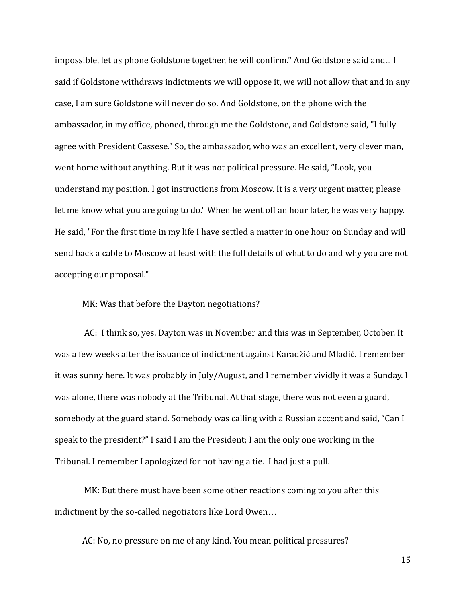impossible, let us phone Goldstone together, he will confirm." And Goldstone said and... I said if Goldstone withdraws indictments we will oppose it, we will not allow that and in any case, I am sure Goldstone will never do so. And Goldstone, on the phone with the ambassador, in my office, phoned, through me the Goldstone, and Goldstone said, "I fully agree with President Cassese." So, the ambassador, who was an excellent, very clever man, went home without anything. But it was not political pressure. He said, "Look, you understand my position. I got instructions from Moscow. It is a very urgent matter, please let me know what you are going to do." When he went off an hour later, he was very happy. He said, "For the first time in my life I have settled a matter in one hour on Sunday and will send back a cable to Moscow at least with the full details of what to do and why you are not accepting our proposal."

MK: Was that before the Dayton negotiations?

AC: I think so, yes. Dayton was in November and this was in September, October. It was a few weeks after the issuance of indictment against Karadžić and Mladić. I remember it was sunny here. It was probably in July/August, and I remember vividly it was a Sunday. I was alone, there was nobody at the Tribunal. At that stage, there was not even a guard, somebody at the guard stand. Somebody was calling with a Russian accent and said, "Can I speak to the president?" I said I am the President; I am the only one working in the Tribunal. I remember I apologized for not having a tie. I had just a pull.

MK: But there must have been some other reactions coming to you after this indictment by the so-called negotiators like Lord Owen…

AC: No, no pressure on me of any kind. You mean political pressures?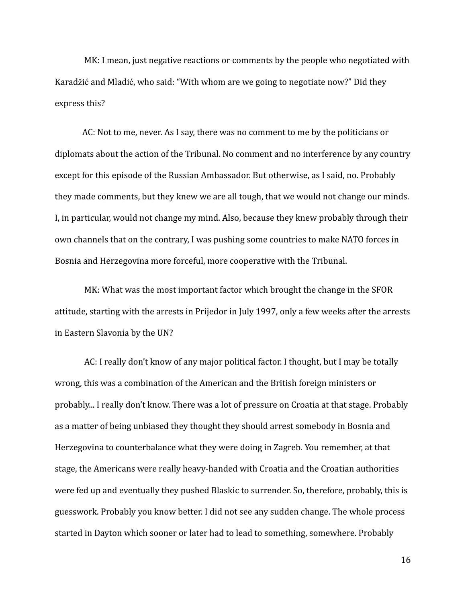MK: I mean, just negative reactions or comments by the people who negotiated with Karadžić and Mladić, who said: "With whom are we going to negotiate now?" Did they express this?

AC: Not to me, never. As I say, there was no comment to me by the politicians or diplomats about the action of the Tribunal. No comment and no interference by any country except for this episode of the Russian Ambassador. But otherwise, as I said, no. Probably they made comments, but they knew we are all tough, that we would not change our minds. I, in particular, would not change my mind. Also, because they knew probably through their own channels that on the contrary, I was pushing some countries to make NATO forces in Bosnia and Herzegovina more forceful, more cooperative with the Tribunal.

MK: What was the most important factor which brought the change in the SFOR attitude, starting with the arrests in Prijedor in July 1997, only a few weeks after the arrests in Eastern Slavonia by the UN?

AC: I really don't know of any major political factor. I thought, but I may be totally wrong, this was a combination of the American and the British foreign ministers or probably... I really don't know. There was a lot of pressure on Croatia at that stage. Probably as a matter of being unbiased they thought they should arrest somebody in Bosnia and Herzegovina to counterbalance what they were doing in Zagreb. You remember, at that stage, the Americans were really heavy-handed with Croatia and the Croatian authorities were fed up and eventually they pushed Blaskic to surrender. So, therefore, probably, this is guesswork. Probably you know better. I did not see any sudden change. The whole process started in Dayton which sooner or later had to lead to something, somewhere. Probably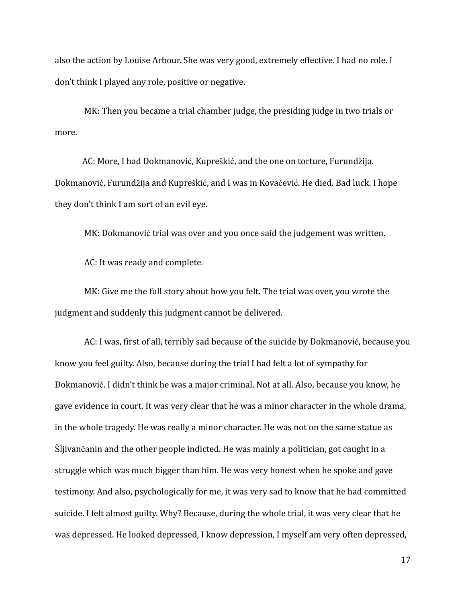also the action by Louise Arbour. She was very good, extremely effective. I had no role. I don't think I played any role, positive or negative.

MK: Then you became a trial chamber judge, the presiding judge in two trials or more.

AC: More, I had Dokmanović, Kupreškić, and the one on torture, Furundžija. Dokmanović, Furundžija and Kupreškić, and I was in Kovačević. He died. Bad luck. I hope they don't think I am sort of an evil eye.

MK: Dokmanović trial was over and you once said the judgement was written.

AC: It was ready and complete.

MK: Give me the full story about how you felt. The trial was over, you wrote the judgment and suddenly this judgment cannot be delivered.

AC: I was, first of all, terribly sad because of the suicide by Dokmanović, because you know you feel guilty. Also, because during the trial I had felt a lot of sympathy for Dokmanović. I didn't think he was a major criminal. Not at all. Also, because you know, he gave evidence in court. It was very clear that he was a minor character in the whole drama, in the whole tragedy. He was really a minor character. He was not on the same statue as Šljivančanin and the other people indicted. He was mainly a politician, got caught in a struggle which was much bigger than him. He was very honest when he spoke and gave testimony. And also, psychologically for me, it was very sad to know that he had committed suicide. I felt almost guilty. Why? Because, during the whole trial, it was very clear that he was depressed. He looked depressed, I know depression, I myself am very often depressed,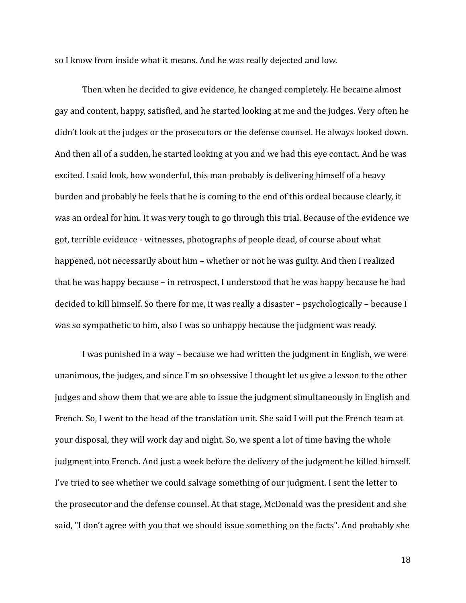so I know from inside what it means. And he was really dejected and low.

Then when he decided to give evidence, he changed completely. He became almost gay and content, happy, satisfied, and he started looking at me and the judges. Very often he didn't look at the judges or the prosecutors or the defense counsel. He always looked down. And then all of a sudden, he started looking at you and we had this eye contact. And he was excited. I said look, how wonderful, this man probably is delivering himself of a heavy burden and probably he feels that he is coming to the end of this ordeal because clearly, it was an ordeal for him. It was very tough to go through this trial. Because of the evidence we got, terrible evidence - witnesses, photographs of people dead, of course about what happened, not necessarily about him – whether or not he was guilty. And then I realized that he was happy because – in retrospect, I understood that he was happy because he had decided to kill himself. So there for me, it was really a disaster – psychologically – because I was so sympathetic to him, also I was so unhappy because the judgment was ready.

I was punished in a way – because we had written the judgment in English, we were unanimous, the judges, and since I'm so obsessive I thought let us give a lesson to the other judges and show them that we are able to issue the judgment simultaneously in English and French. So, I went to the head of the translation unit. She said I will put the French team at your disposal, they will work day and night. So, we spent a lot of time having the whole judgment into French. And just a week before the delivery of the judgment he killed himself. I've tried to see whether we could salvage something of our judgment. I sent the letter to the prosecutor and the defense counsel. At that stage, McDonald was the president and she said, "I don't agree with you that we should issue something on the facts". And probably she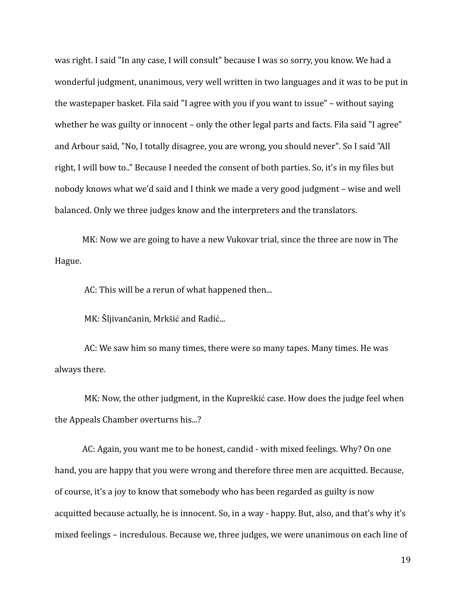was right. I said "In any case, I will consult" because I was so sorry, you know. We had a wonderful judgment, unanimous, very well written in two languages and it was to be put in the wastepaper basket. Fila said "I agree with you if you want to issue" – without saying whether he was guilty or innocent – only the other legal parts and facts. Fila said "I agree" and Arbour said, "No, I totally disagree, you are wrong, you should never". So I said "All right, I will bow to.." Because I needed the consent of both parties. So, it's in my files but nobody knows what we'd said and I think we made a very good judgment – wise and well balanced. Only we three judges know and the interpreters and the translators.

MK: Now we are going to have a new Vukovar trial, since the three are now in The Hague.

AC: This will be a rerun of what happened then...

MK: Šljivančanin, Mrkšić and Radić...

AC: We saw him so many times, there were so many tapes. Many times. He was always there.

MK: Now, the other judgment, in the Kupreškić case. How does the judge feel when the Appeals Chamber overturns his...?

AC: Again, you want me to be honest, candid - with mixed feelings. Why? On one hand, you are happy that you were wrong and therefore three men are acquitted. Because, of course, it's a joy to know that somebody who has been regarded as guilty is now acquitted because actually, he is innocent. So, in a way - happy. But, also, and that's why it's mixed feelings – incredulous. Because we, three judges, we were unanimous on each line of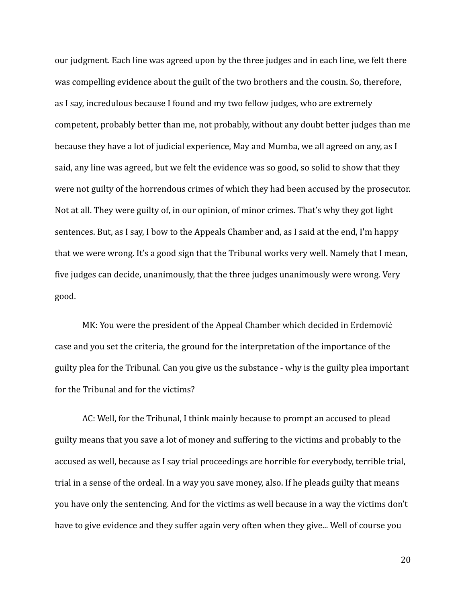our judgment. Each line was agreed upon by the three judges and in each line, we felt there was compelling evidence about the guilt of the two brothers and the cousin. So, therefore, as I say, incredulous because I found and my two fellow judges, who are extremely competent, probably better than me, not probably, without any doubt better judges than me because they have a lot of judicial experience, May and Mumba, we all agreed on any, as I said, any line was agreed, but we felt the evidence was so good, so solid to show that they were not guilty of the horrendous crimes of which they had been accused by the prosecutor. Not at all. They were guilty of, in our opinion, of minor crimes. That's why they got light sentences. But, as I say, I bow to the Appeals Chamber and, as I said at the end, I'm happy that we were wrong. It's a good sign that the Tribunal works very well. Namely that I mean, five judges can decide, unanimously, that the three judges unanimously were wrong. Very good.

MK: You were the president of the Appeal Chamber which decided in Erdemović case and you set the criteria, the ground for the interpretation of the importance of the guilty plea for the Tribunal. Can you give us the substance - why is the guilty plea important for the Tribunal and for the victims?

AC: Well, for the Tribunal, I think mainly because to prompt an accused to plead guilty means that you save a lot of money and suffering to the victims and probably to the accused as well, because as I say trial proceedings are horrible for everybody, terrible trial, trial in a sense of the ordeal. In a way you save money, also. If he pleads guilty that means you have only the sentencing. And for the victims as well because in a way the victims don't have to give evidence and they suffer again very often when they give... Well of course you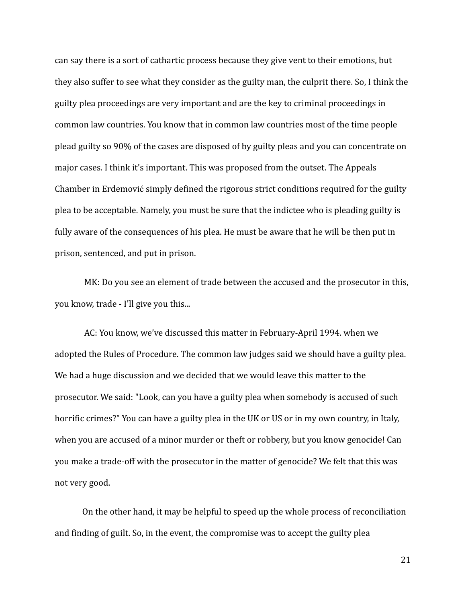can say there is a sort of cathartic process because they give vent to their emotions, but they also suffer to see what they consider as the guilty man, the culprit there. So, I think the guilty plea proceedings are very important and are the key to criminal proceedings in common law countries. You know that in common law countries most of the time people plead guilty so 90% of the cases are disposed of by guilty pleas and you can concentrate on major cases. I think it's important. This was proposed from the outset. The Appeals Chamber in Erdemović simply defined the rigorous strict conditions required for the guilty plea to be acceptable. Namely, you must be sure that the indictee who is pleading guilty is fully aware of the consequences of his plea. He must be aware that he will be then put in prison, sentenced, and put in prison.

MK: Do you see an element of trade between the accused and the prosecutor in this, you know, trade - I'll give you this...

AC: You know, we've discussed this matter in February-April 1994. when we adopted the Rules of Procedure. The common law judges said we should have a guilty plea. We had a huge discussion and we decided that we would leave this matter to the prosecutor. We said: "Look, can you have a guilty plea when somebody is accused of such horrific crimes?" You can have a guilty plea in the UK or US or in my own country, in Italy, when you are accused of a minor murder or theft or robbery, but you know genocide! Can you make a trade-off with the prosecutor in the matter of genocide? We felt that this was not very good.

On the other hand, it may be helpful to speed up the whole process of reconciliation and finding of guilt. So, in the event, the compromise was to accept the guilty plea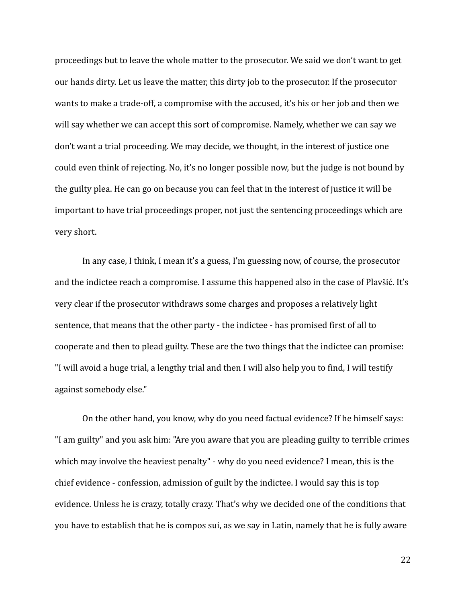proceedings but to leave the whole matter to the prosecutor. We said we don't want to get our hands dirty. Let us leave the matter, this dirty job to the prosecutor. If the prosecutor wants to make a trade-off, a compromise with the accused, it's his or her job and then we will say whether we can accept this sort of compromise. Namely, whether we can say we don't want a trial proceeding. We may decide, we thought, in the interest of justice one could even think of rejecting. No, it's no longer possible now, but the judge is not bound by the guilty plea. He can go on because you can feel that in the interest of justice it will be important to have trial proceedings proper, not just the sentencing proceedings which are very short.

In any case, I think, I mean it's a guess, I'm guessing now, of course, the prosecutor and the indictee reach a compromise. I assume this happened also in the case of Plavšić. It's very clear if the prosecutor withdraws some charges and proposes a relatively light sentence, that means that the other party - the indictee - has promised first of all to cooperate and then to plead guilty. These are the two things that the indictee can promise: "I will avoid a huge trial, a lengthy trial and then I will also help you to find, I will testify against somebody else."

On the other hand, you know, why do you need factual evidence? If he himself says: "I am guilty" and you ask him: "Are you aware that you are pleading guilty to terrible crimes which may involve the heaviest penalty" - why do you need evidence? I mean, this is the chief evidence - confession, admission of guilt by the indictee. I would say this is top evidence. Unless he is crazy, totally crazy. That's why we decided one of the conditions that you have to establish that he is compos sui, as we say in Latin, namely that he is fully aware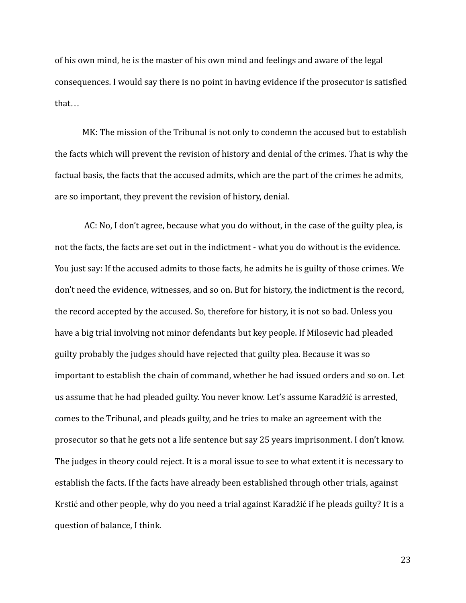of his own mind, he is the master of his own mind and feelings and aware of the legal consequences. I would say there is no point in having evidence if the prosecutor is satisfied that…

MK: The mission of the Tribunal is not only to condemn the accused but to establish the facts which will prevent the revision of history and denial of the crimes. That is why the factual basis, the facts that the accused admits, which are the part of the crimes he admits, are so important, they prevent the revision of history, denial.

AC: No, I don't agree, because what you do without, in the case of the guilty plea, is not the facts, the facts are set out in the indictment - what you do without is the evidence. You just say: If the accused admits to those facts, he admits he is guilty of those crimes. We don't need the evidence, witnesses, and so on. But for history, the indictment is the record, the record accepted by the accused. So, therefore for history, it is not so bad. Unless you have a big trial involving not minor defendants but key people. If Milosevic had pleaded guilty probably the judges should have rejected that guilty plea. Because it was so important to establish the chain of command, whether he had issued orders and so on. Let us assume that he had pleaded guilty. You never know. Let's assume Karadžić is arrested, comes to the Tribunal, and pleads guilty, and he tries to make an agreement with the prosecutor so that he gets not a life sentence but say 25 years imprisonment. I don't know. The judges in theory could reject. It is a moral issue to see to what extent it is necessary to establish the facts. If the facts have already been established through other trials, against Krstić and other people, why do you need a trial against Karadžić if he pleads guilty? It is a question of balance, I think.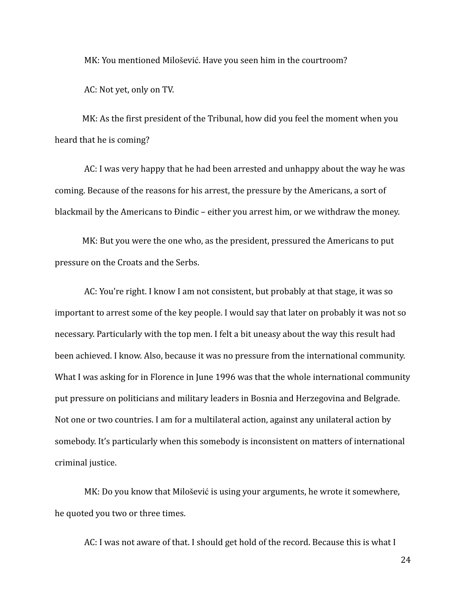MK: You mentioned Milošević. Have you seen him in the courtroom?

AC: Not yet, only on TV.

MK: As the first president of the Tribunal, how did you feel the moment when you heard that he is coming?

AC: I was very happy that he had been arrested and unhappy about the way he was coming. Because of the reasons for his arrest, the pressure by the Americans, a sort of blackmail by the Americans to Đinđic – either you arrest him, or we withdraw the money.

MK: But you were the one who, as the president, pressured the Americans to put pressure on the Croats and the Serbs.

AC: You're right. I know I am not consistent, but probably at that stage, it was so important to arrest some of the key people. I would say that later on probably it was not so necessary. Particularly with the top men. I felt a bit uneasy about the way this result had been achieved. I know. Also, because it was no pressure from the international community. What I was asking for in Florence in June 1996 was that the whole international community put pressure on politicians and military leaders in Bosnia and Herzegovina and Belgrade. Not one or two countries. I am for a multilateral action, against any unilateral action by somebody. It's particularly when this somebody is inconsistent on matters of international criminal justice.

MK: Do you know that Milošević is using your arguments, he wrote it somewhere, he quoted you two or three times.

AC: I was not aware of that. I should get hold of the record. Because this is what I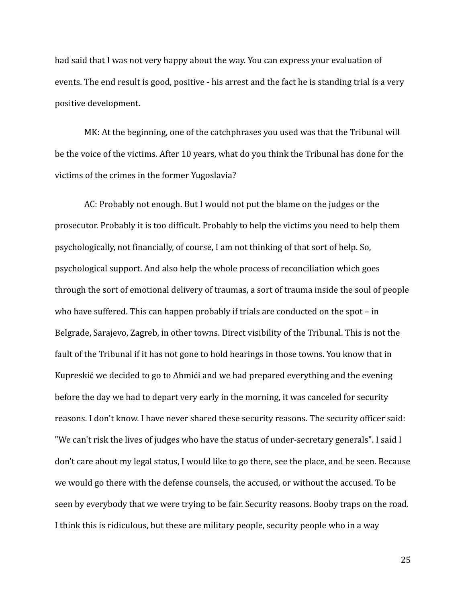had said that I was not very happy about the way. You can express your evaluation of events. The end result is good, positive - his arrest and the fact he is standing trial is a very positive development.

MK: At the beginning, one of the catchphrases you used was that the Tribunal will be the voice of the victims. After 10 years, what do you think the Tribunal has done for the victims of the crimes in the former Yugoslavia?

AC: Probably not enough. But I would not put the blame on the judges or the prosecutor. Probably it is too difficult. Probably to help the victims you need to help them psychologically, not financially, of course, I am not thinking of that sort of help. So, psychological support. And also help the whole process of reconciliation which goes through the sort of emotional delivery of traumas, a sort of trauma inside the soul of people who have suffered. This can happen probably if trials are conducted on the spot – in Belgrade, Sarajevo, Zagreb, in other towns. Direct visibility of the Tribunal. This is not the fault of the Tribunal if it has not gone to hold hearings in those towns. You know that in Kupreskić we decided to go to Ahmići and we had prepared everything and the evening before the day we had to depart very early in the morning, it was canceled for security reasons. I don't know. I have never shared these security reasons. The security officer said: "We can't risk the lives of judges who have the status of under-secretary generals". I said I don't care about my legal status, I would like to go there, see the place, and be seen. Because we would go there with the defense counsels, the accused, or without the accused. To be seen by everybody that we were trying to be fair. Security reasons. Booby traps on the road. I think this is ridiculous, but these are military people, security people who in a way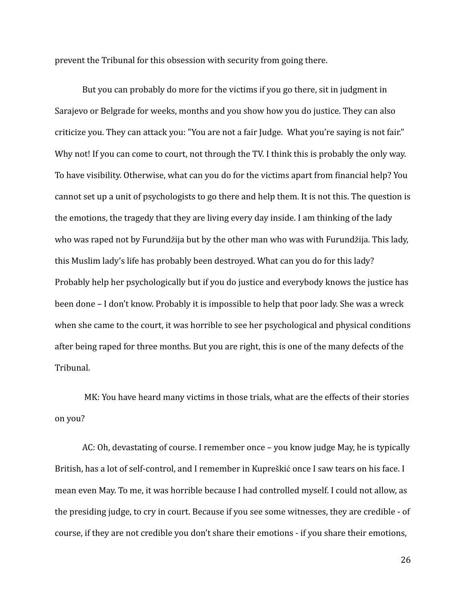prevent the Tribunal for this obsession with security from going there.

But you can probably do more for the victims if you go there, sit in judgment in Sarajevo or Belgrade for weeks, months and you show how you do justice. They can also criticize you. They can attack you: "You are not a fair Judge. What you're saying is not fair." Why not! If you can come to court, not through the TV. I think this is probably the only way. To have visibility. Otherwise, what can you do for the victims apart from financial help? You cannot set up a unit of psychologists to go there and help them. It is not this. The question is the emotions, the tragedy that they are living every day inside. I am thinking of the lady who was raped not by Furundžija but by the other man who was with Furundžija. This lady, this Muslim lady's life has probably been destroyed. What can you do for this lady? Probably help her psychologically but if you do justice and everybody knows the justice has been done – I don't know. Probably it is impossible to help that poor lady. She was a wreck when she came to the court, it was horrible to see her psychological and physical conditions after being raped for three months. But you are right, this is one of the many defects of the Tribunal.

MK: You have heard many victims in those trials, what are the effects of their stories on you?

AC: Oh, devastating of course. I remember once – you know judge May, he is typically British, has a lot of self-control, and I remember in Kupreškić once I saw tears on his face. I mean even May. To me, it was horrible because I had controlled myself. I could not allow, as the presiding judge, to cry in court. Because if you see some witnesses, they are credible - of course, if they are not credible you don't share their emotions - if you share their emotions,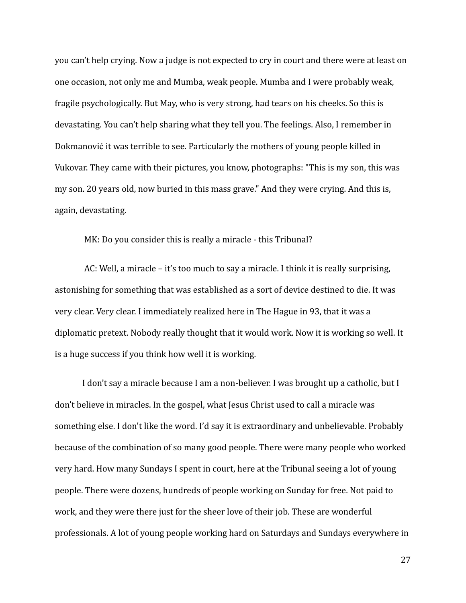you can't help crying. Now a judge is not expected to cry in court and there were at least on one occasion, not only me and Mumba, weak people. Mumba and I were probably weak, fragile psychologically. But May, who is very strong, had tears on his cheeks. So this is devastating. You can't help sharing what they tell you. The feelings. Also, I remember in Dokmanović it was terrible to see. Particularly the mothers of young people killed in Vukovar. They came with their pictures, you know, photographs: "This is my son, this was my son. 20 years old, now buried in this mass grave." And they were crying. And this is, again, devastating.

MK: Do you consider this is really a miracle - this Tribunal?

AC: Well, a miracle – it's too much to say a miracle. I think it is really surprising, astonishing for something that was established as a sort of device destined to die. It was very clear. Very clear. I immediately realized here in The Hague in 93, that it was a diplomatic pretext. Nobody really thought that it would work. Now it is working so well. It is a huge success if you think how well it is working.

I don't say a miracle because I am a non-believer. I was brought up a catholic, but I don't believe in miracles. In the gospel, what Jesus Christ used to call a miracle was something else. I don't like the word. I'd say it is extraordinary and unbelievable. Probably because of the combination of so many good people. There were many people who worked very hard. How many Sundays I spent in court, here at the Tribunal seeing a lot of young people. There were dozens, hundreds of people working on Sunday for free. Not paid to work, and they were there just for the sheer love of their job. These are wonderful professionals. A lot of young people working hard on Saturdays and Sundays everywhere in